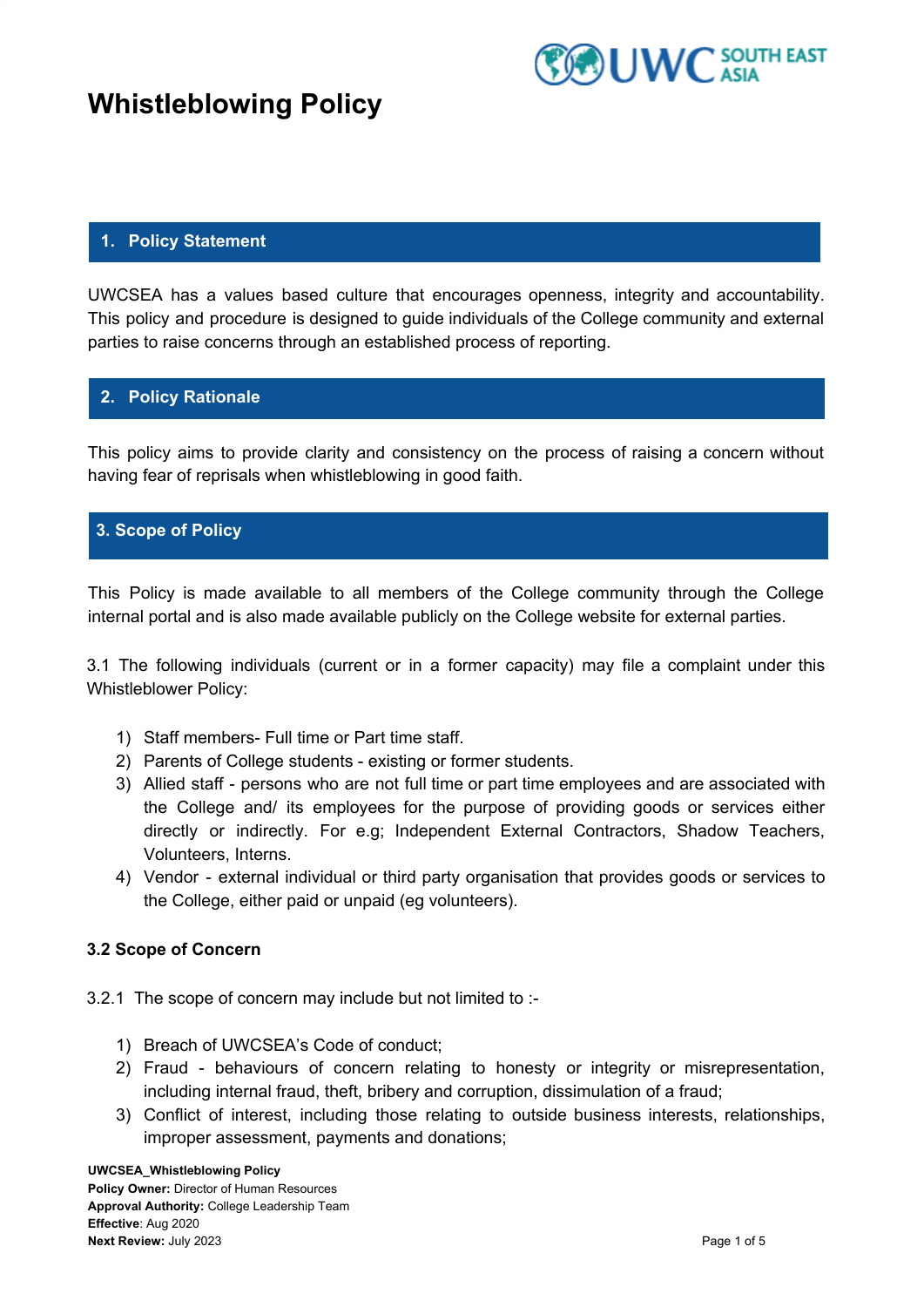



### **1. Policy Statement**

UWCSEA has a values based culture that encourages openness, integrity and accountability. This policy and procedure is designed to guide individuals of the College community and external parties to raise concerns through an established process of reporting.

## **2. Policy Rationale**

This policy aims to provide clarity and consistency on the process of raising a concern without having fear of reprisals when whistleblowing in good faith.

### **3. Scope of Policy**

This Policy is made available to all members of the College community through the College internal portal and is also made available publicly on the College website for external parties.

3.1 The following individuals (current or in a former capacity) may file a complaint under this Whistleblower Policy:

- 1) Staff members- Full time or Part time staff.
- 2) Parents of College students existing or former students.
- 3) Allied staff persons who are not full time or part time employees and are associated with the College and/ its employees for the purpose of providing goods or services either directly or indirectly. For e.g; Independent External Contractors, Shadow Teachers, Volunteers, Interns.
- 4) Vendor external individual or third party organisation that provides goods or services to the College, either paid or unpaid (eg volunteers).

### **3.2 Scope of Concern**

3.2.1 The scope of concern may include but not limited to :-

- 1) Breach of UWCSEA's Code of conduct;
- 2) Fraud behaviours of concern relating to honesty or integrity or misrepresentation, including internal fraud, theft, bribery and corruption, dissimulation of a fraud;
- 3) Conflict of interest, including those relating to outside business interests, relationships, improper assessment, payments and donations;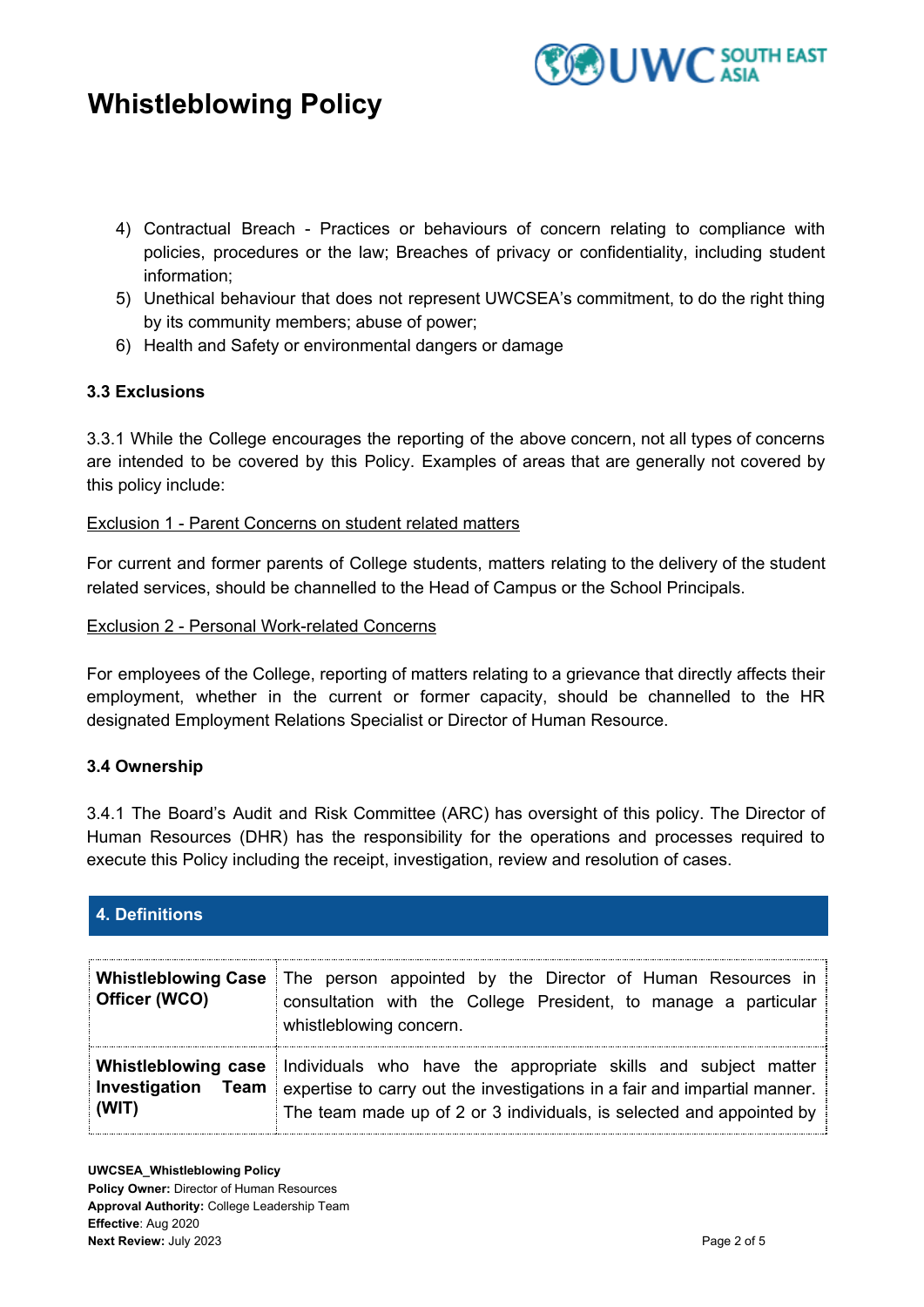

- 4) Contractual Breach Practices or behaviours of concern relating to compliance with policies, procedures or the law; Breaches of privacy or confidentiality, including student information;
- 5) Unethical behaviour that does not represent UWCSEA's commitment, to do the right thing by its community members; abuse of power;
- 6) Health and Safety or environmental dangers or damage

### **3.3 Exclusions**

3.3.1 While the College encourages the reporting of the above concern, not all types of concerns are intended to be covered by this Policy. Examples of areas that are generally not covered by this policy include:

### Exclusion 1 - Parent Concerns on student related matters

For current and former parents of College students, matters relating to the delivery of the student related services, should be channelled to the Head of Campus or the School Principals.

Exclusion 2 - Personal Work-related Concerns

For employees of the College, reporting of matters relating to a grievance that directly affects their employment, whether in the current or former capacity, should be channelled to the HR designated Employment Relations Specialist or Director of Human Resource.

### **3.4 Ownership**

3.4.1 The Board's Audit and Risk Committee (ARC) has oversight of this policy. The Director of Human Resources (DHR) has the responsibility for the operations and processes required to execute this Policy including the receipt, investigation, review and resolution of cases.

## **4. Definitions**

| <b>Whistleblowing Case</b><br>Officer (WCO) | The person appointed by the Director of Human Resources in<br>consultation with the College President, to manage a particular<br>whistleblowing concern.                                                                                       |
|---------------------------------------------|------------------------------------------------------------------------------------------------------------------------------------------------------------------------------------------------------------------------------------------------|
| <b>Investigation Team</b><br>(WIT)          | <b>Whistleblowing case</b> Individuals who have the appropriate skills and subject matter<br>expertise to carry out the investigations in a fair and impartial manner.<br>The team made up of 2 or 3 individuals, is selected and appointed by |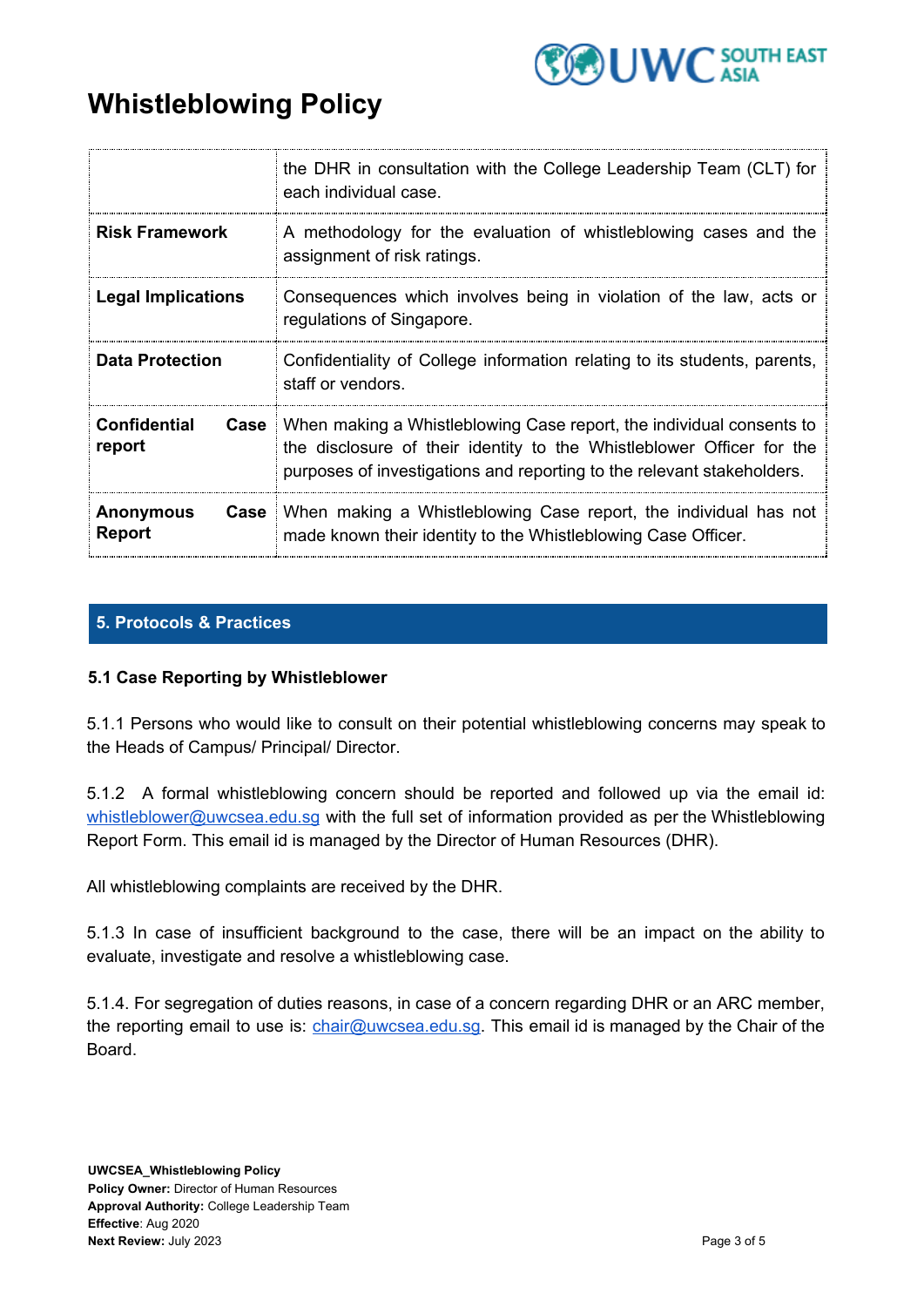

|                                   | the DHR in consultation with the College Leadership Team (CLT) for<br>each individual case.                                                                                                                                           |
|-----------------------------------|---------------------------------------------------------------------------------------------------------------------------------------------------------------------------------------------------------------------------------------|
| <b>Risk Framework</b>             | A methodology for the evaluation of whistleblowing cases and the<br>assignment of risk ratings.                                                                                                                                       |
| <b>Legal Implications</b>         | Consequences which involves being in violation of the law, acts or<br>regulations of Singapore.                                                                                                                                       |
| <b>Data Protection</b>            | Confidentiality of College information relating to its students, parents,<br>staff or vendors.                                                                                                                                        |
| <b>Confidential</b><br>report     | <b>Case</b>   When making a Whistleblowing Case report, the individual consents to<br>the disclosure of their identity to the Whistleblower Officer for the<br>purposes of investigations and reporting to the relevant stakeholders. |
| <b>Anonymous</b><br><b>Report</b> | <b>Case</b> : When making a Whistleblowing Case report, the individual has not<br>made known their identity to the Whistleblowing Case Officer.                                                                                       |

## **5. Protocols & Practices**

## **5.1 Case Reporting by Whistleblower**

5.1.1 Persons who would like to consult on their potential whistleblowing concerns may speak to the Heads of Campus/ Principal/ Director.

5.1.2 A formal whistleblowing concern should be reported and followed up via the email id: [whistleblower@uwcsea.edu.sg](mailto:whistleblower@uwcsea.edu.sg) with the full set of information provided as per the Whistleblowing Report Form. This email id is managed by the Director of Human Resources (DHR).

All whistleblowing complaints are received by the DHR.

5.1.3 In case of insufficient background to the case, there will be an impact on the ability to evaluate, investigate and resolve a whistleblowing case.

5.1.4. For segregation of duties reasons, in case of a concern regarding DHR or an ARC member, the reporting email to use is: *[chair@uwcsea.edu.sg](mailto:chair@uwcsea.edu.sg)*. This email id is managed by the Chair of the Board.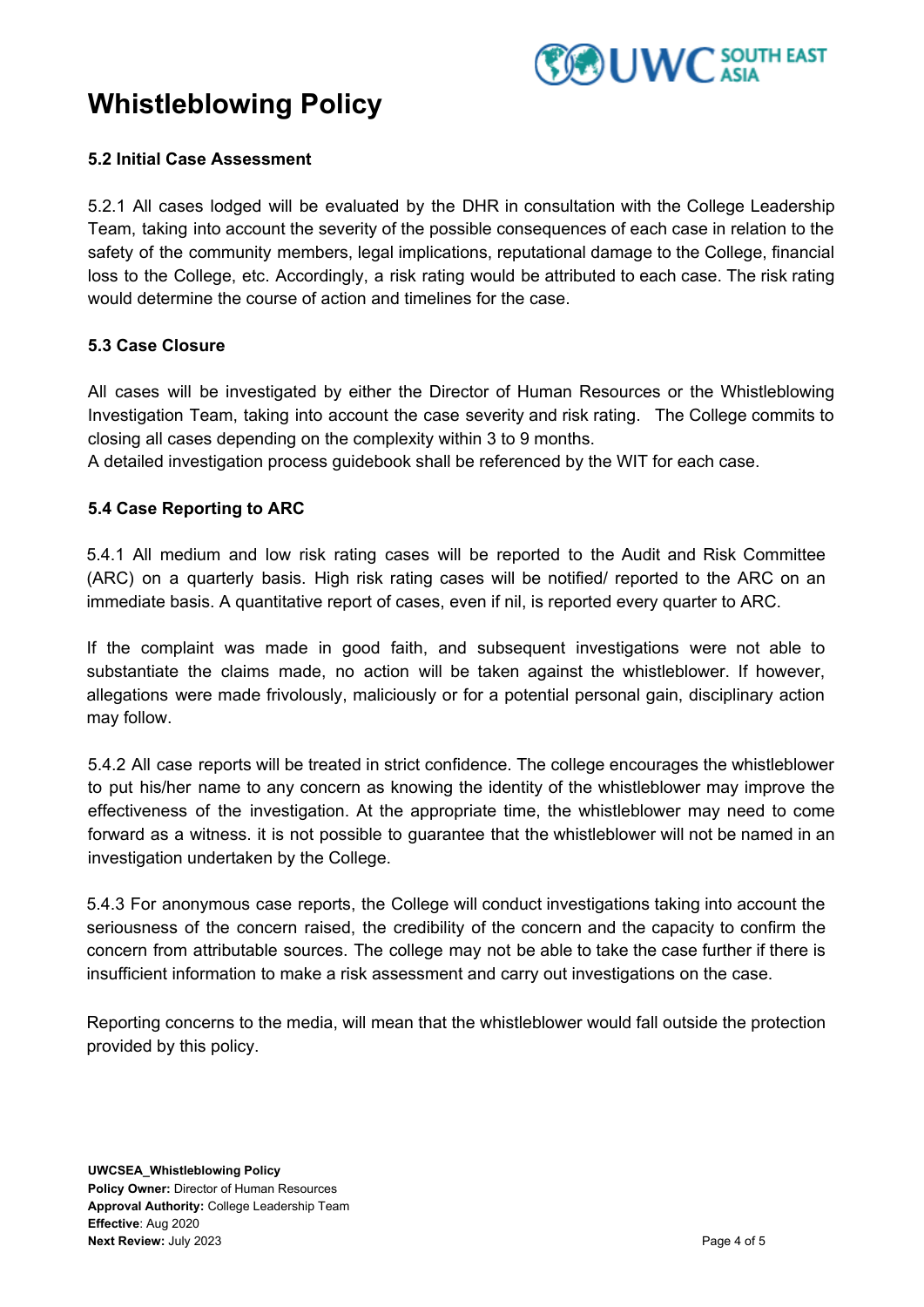

### **5.2 Initial Case Assessment**

5.2.1 All cases lodged will be evaluated by the DHR in consultation with the College Leadership Team, taking into account the severity of the possible consequences of each case in relation to the safety of the community members, legal implications, reputational damage to the College, financial loss to the College, etc. Accordingly, a risk rating would be attributed to each case. The risk rating would determine the course of action and timelines for the case.

### **5.3 Case Closure**

All cases will be investigated by either the Director of Human Resources or the Whistleblowing Investigation Team, taking into account the case severity and risk rating. The College commits to closing all cases depending on the complexity within 3 to 9 months.

A detailed investigation process guidebook shall be referenced by the WIT for each case.

### **5.4 Case Reporting to ARC**

5.4.1 All medium and low risk rating cases will be reported to the Audit and Risk Committee (ARC) on a quarterly basis. High risk rating cases will be notified/ reported to the ARC on an immediate basis. A quantitative report of cases, even if nil, is reported every quarter to ARC.

If the complaint was made in good faith, and subsequent investigations were not able to substantiate the claims made, no action will be taken against the whistleblower. If however, allegations were made frivolously, maliciously or for a potential personal gain, disciplinary action may follow.

5.4.2 All case reports will be treated in strict confidence. The college encourages the whistleblower to put his/her name to any concern as knowing the identity of the whistleblower may improve the effectiveness of the investigation. At the appropriate time, the whistleblower may need to come forward as a witness. it is not possible to guarantee that the whistleblower will not be named in an investigation undertaken by the College.

5.4.3 For anonymous case reports, the College will conduct investigations taking into account the seriousness of the concern raised, the credibility of the concern and the capacity to confirm the concern from attributable sources. The college may not be able to take the case further if there is insufficient information to make a risk assessment and carry out investigations on the case.

Reporting concerns to the media, will mean that the whistleblower would fall outside the protection provided by this policy.